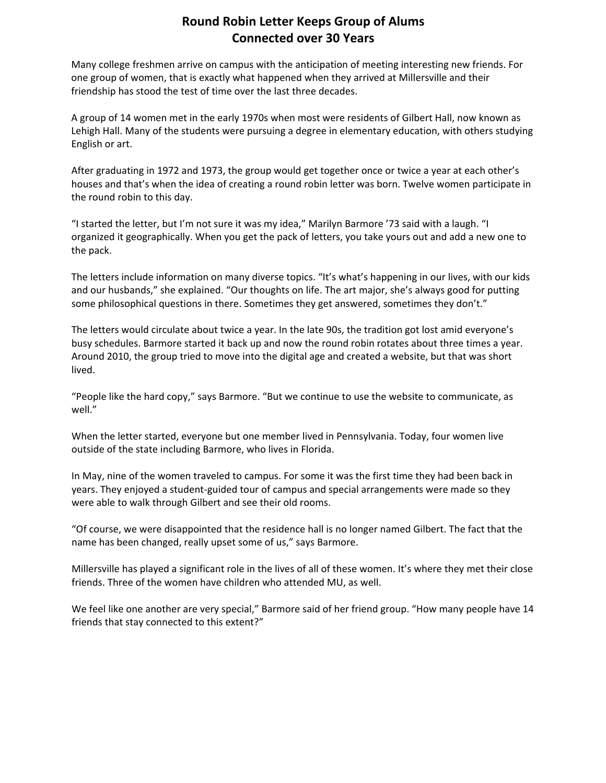## **Round Robin Letter Keeps Group of Alums Connected over 30 Years**

Many college freshmen arrive on campus with the anticipation of meeting interesting new friends. For one group of women, that is exactly what happened when they arrived at Millersville and their friendship has stood the test of time over the last three decades.

A group of 14 women met in the early 1970s when most were residents of Gilbert Hall, now known as Lehigh Hall. Many of the students were pursuing a degree in elementary education, with others studying English or art.

After graduating in 1972 and 1973, the group would get together once or twice a year at each other's houses and that's when the idea of creating a round robin letter was born. Twelve women participate in the round robin to this day.

"I started the letter, but I'm not sure it was my idea," Marilyn Barmore '73 said with a laugh. "I organized it geographically. When you get the pack of letters, you take yours out and add a new one to the pack.

The letters include information on many diverse topics. "It's what's happening in our lives, with our kids and our husbands," she explained. "Our thoughts on life. The art major, she's always good for putting some philosophical questions in there. Sometimes they get answered, sometimes they don't."

The letters would circulate about twice a year. In the late 90s, the tradition got lost amid everyone's busy schedules. Barmore started it back up and now the round robin rotates about three times a year. Around 2010, the group tried to move into the digital age and created a website, but that was short lived.

"People like the hard copy," says Barmore. "But we continue to use the website to communicate, as well."

When the letter started, everyone but one member lived in Pennsylvania. Today, four women live outside of the state including Barmore, who lives in Florida.

In May, nine of the women traveled to campus. For some it was the first time they had been back in years. They enjoyed a student‐guided tour of campus and special arrangements were made so they were able to walk through Gilbert and see their old rooms.

"Of course, we were disappointed that the residence hall is no longer named Gilbert. The fact that the name has been changed, really upset some of us," says Barmore.

Millersville has played a significant role in the lives of all of these women. It's where they met their close friends. Three of the women have children who attended MU, as well.

We feel like one another are very special," Barmore said of her friend group. "How many people have 14 friends that stay connected to this extent?"